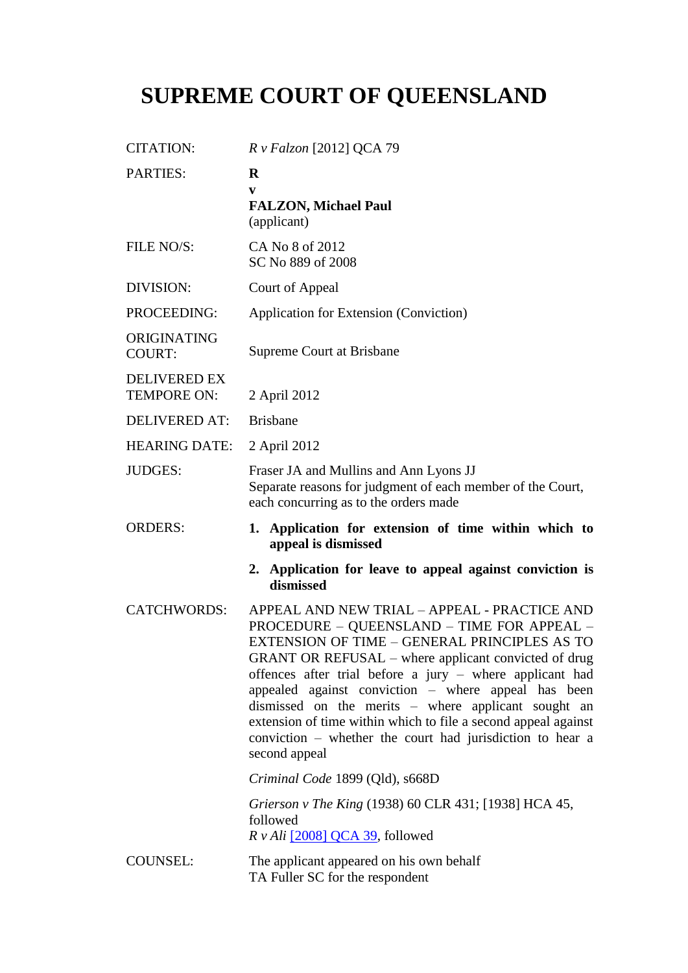## **SUPREME COURT OF QUEENSLAND**

| <b>CITATION:</b>                          | R v Falzon [2012] QCA 79                                                                                                                                                                                                                                                                                                                                                                                                                                                                                                     |
|-------------------------------------------|------------------------------------------------------------------------------------------------------------------------------------------------------------------------------------------------------------------------------------------------------------------------------------------------------------------------------------------------------------------------------------------------------------------------------------------------------------------------------------------------------------------------------|
| <b>PARTIES:</b>                           | $\bf R$<br>V<br><b>FALZON, Michael Paul</b><br>(applicant)                                                                                                                                                                                                                                                                                                                                                                                                                                                                   |
| FILE NO/S:                                | CA No 8 of 2012<br>SC No 889 of 2008                                                                                                                                                                                                                                                                                                                                                                                                                                                                                         |
| DIVISION:                                 | Court of Appeal                                                                                                                                                                                                                                                                                                                                                                                                                                                                                                              |
| PROCEEDING:                               | Application for Extension (Conviction)                                                                                                                                                                                                                                                                                                                                                                                                                                                                                       |
| ORIGINATING<br><b>COURT:</b>              | <b>Supreme Court at Brisbane</b>                                                                                                                                                                                                                                                                                                                                                                                                                                                                                             |
| <b>DELIVERED EX</b><br><b>TEMPORE ON:</b> | 2 April 2012                                                                                                                                                                                                                                                                                                                                                                                                                                                                                                                 |
| <b>DELIVERED AT:</b>                      | <b>Brisbane</b>                                                                                                                                                                                                                                                                                                                                                                                                                                                                                                              |
| <b>HEARING DATE:</b>                      | 2 April 2012                                                                                                                                                                                                                                                                                                                                                                                                                                                                                                                 |
| <b>JUDGES:</b>                            | Fraser JA and Mullins and Ann Lyons JJ<br>Separate reasons for judgment of each member of the Court,<br>each concurring as to the orders made                                                                                                                                                                                                                                                                                                                                                                                |
|                                           |                                                                                                                                                                                                                                                                                                                                                                                                                                                                                                                              |
| <b>ORDERS:</b>                            | 1. Application for extension of time within which to<br>appeal is dismissed                                                                                                                                                                                                                                                                                                                                                                                                                                                  |
|                                           | 2. Application for leave to appeal against conviction is<br>dismissed                                                                                                                                                                                                                                                                                                                                                                                                                                                        |
| <b>CATCHWORDS:</b>                        | APPEAL AND NEW TRIAL - APPEAL - PRACTICE AND<br>PROCEDURE - QUEENSLAND - TIME FOR APPEAL -<br>EXTENSION OF TIME - GENERAL PRINCIPLES AS TO<br>GRANT OR REFUSAL – where applicant convicted of drug<br>offences after trial before a jury – where applicant had<br>appealed against conviction - where appeal has been<br>dismissed on the merits – where applicant sought an<br>extension of time within which to file a second appeal against<br>conviction – whether the court had jurisdiction to hear a<br>second appeal |
|                                           | Criminal Code 1899 (Qld), s668D                                                                                                                                                                                                                                                                                                                                                                                                                                                                                              |
|                                           | Grierson v The King (1938) 60 CLR 431; [1938] HCA 45,<br>followed<br>$R v Ali$ [2008] QCA 39, followed                                                                                                                                                                                                                                                                                                                                                                                                                       |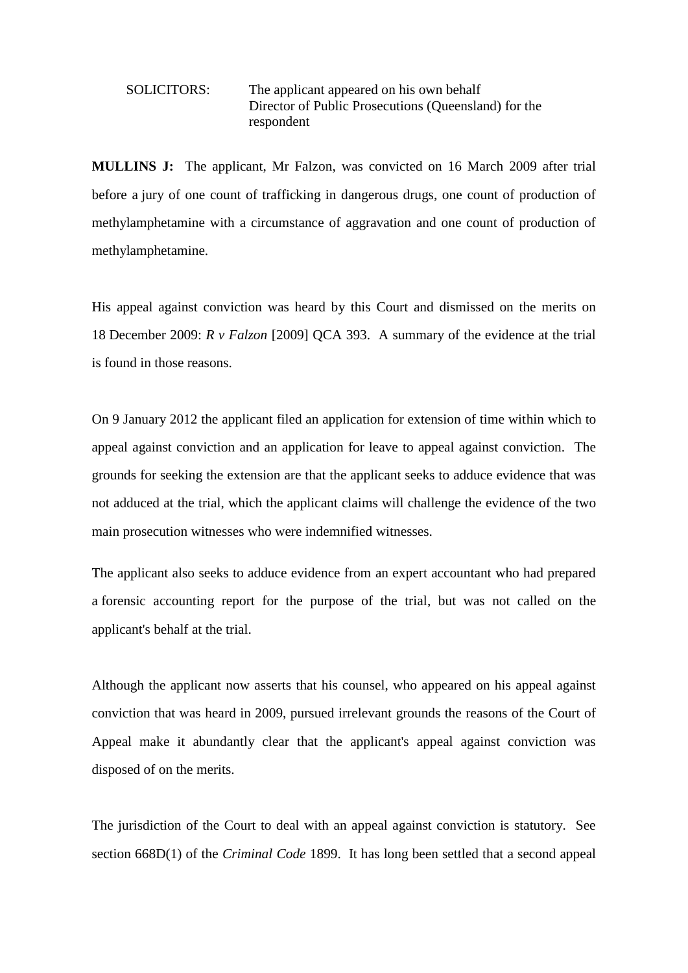## SOLICITORS: The applicant appeared on his own behalf Director of Public Prosecutions (Queensland) for the respondent

**MULLINS J:** The applicant, Mr Falzon, was convicted on 16 March 2009 after trial before a jury of one count of trafficking in dangerous drugs, one count of production of methylamphetamine with a circumstance of aggravation and one count of production of methylamphetamine.

His appeal against conviction was heard by this Court and dismissed on the merits on 18 December 2009: *R v Falzon* [2009] QCA 393. A summary of the evidence at the trial is found in those reasons.

On 9 January 2012 the applicant filed an application for extension of time within which to appeal against conviction and an application for leave to appeal against conviction. The grounds for seeking the extension are that the applicant seeks to adduce evidence that was not adduced at the trial, which the applicant claims will challenge the evidence of the two main prosecution witnesses who were indemnified witnesses.

The applicant also seeks to adduce evidence from an expert accountant who had prepared a forensic accounting report for the purpose of the trial, but was not called on the applicant's behalf at the trial.

Although the applicant now asserts that his counsel, who appeared on his appeal against conviction that was heard in 2009, pursued irrelevant grounds the reasons of the Court of Appeal make it abundantly clear that the applicant's appeal against conviction was disposed of on the merits.

The jurisdiction of the Court to deal with an appeal against conviction is statutory. See section 668D(1) of the *Criminal Code* 1899. It has long been settled that a second appeal